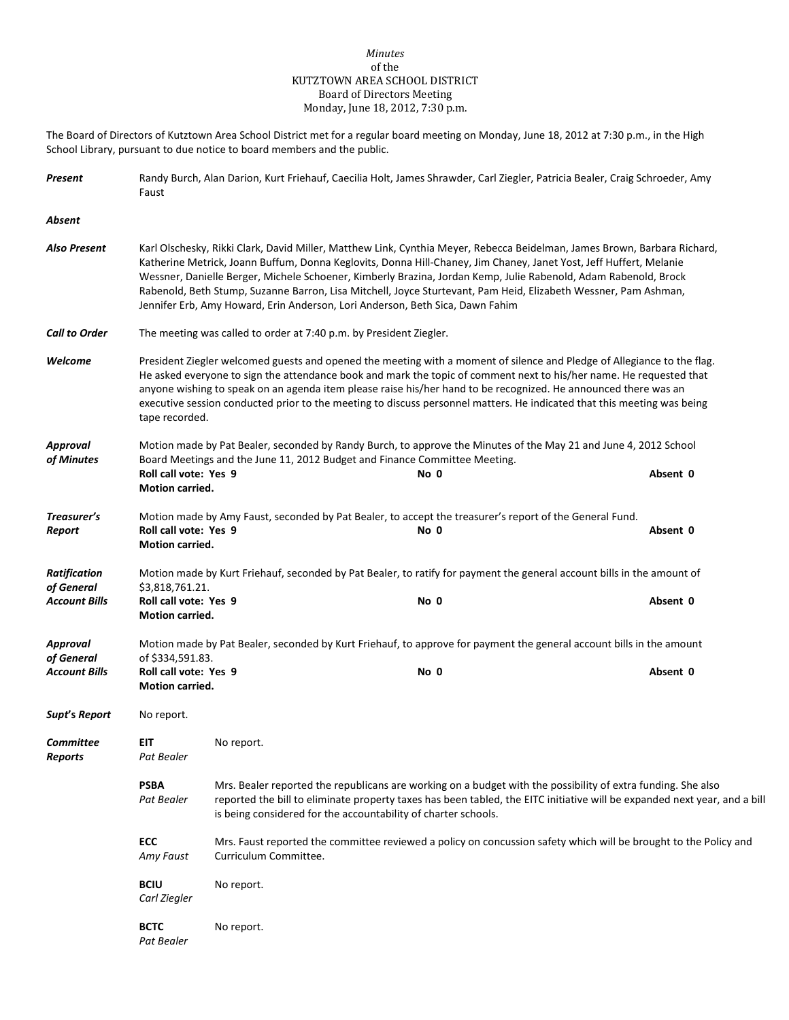## *Minutes* of the KUTZTOWN AREA SCHOOL DISTRICT Board of Directors Meeting Monday, June 18, 2012, 7:30 p.m.

The Board of Directors of Kutztown Area School District met for a regular board meeting on Monday, June 18, 2012 at 7:30 p.m., in the High School Library, pursuant to due notice to board members and the public.

| Present                                        | Randy Burch, Alan Darion, Kurt Friehauf, Caecilia Holt, James Shrawder, Carl Ziegler, Patricia Bealer, Craig Schroeder, Amy<br>Faust                                                                                                                                                                                                                                                                                                                                                                                                                                  |            |                                                                                                                              |          |  |  |
|------------------------------------------------|-----------------------------------------------------------------------------------------------------------------------------------------------------------------------------------------------------------------------------------------------------------------------------------------------------------------------------------------------------------------------------------------------------------------------------------------------------------------------------------------------------------------------------------------------------------------------|------------|------------------------------------------------------------------------------------------------------------------------------|----------|--|--|
| Absent                                         |                                                                                                                                                                                                                                                                                                                                                                                                                                                                                                                                                                       |            |                                                                                                                              |          |  |  |
| Also Present                                   | Karl Olschesky, Rikki Clark, David Miller, Matthew Link, Cynthia Meyer, Rebecca Beidelman, James Brown, Barbara Richard,<br>Katherine Metrick, Joann Buffum, Donna Keglovits, Donna Hill-Chaney, Jim Chaney, Janet Yost, Jeff Huffert, Melanie<br>Wessner, Danielle Berger, Michele Schoener, Kimberly Brazina, Jordan Kemp, Julie Rabenold, Adam Rabenold, Brock<br>Rabenold, Beth Stump, Suzanne Barron, Lisa Mitchell, Joyce Sturtevant, Pam Heid, Elizabeth Wessner, Pam Ashman,<br>Jennifer Erb, Amy Howard, Erin Anderson, Lori Anderson, Beth Sica, Dawn Fahim |            |                                                                                                                              |          |  |  |
| <b>Call to Order</b>                           |                                                                                                                                                                                                                                                                                                                                                                                                                                                                                                                                                                       |            | The meeting was called to order at 7:40 p.m. by President Ziegler.                                                           |          |  |  |
| Welcome                                        | President Ziegler welcomed guests and opened the meeting with a moment of silence and Pledge of Allegiance to the flag.<br>He asked everyone to sign the attendance book and mark the topic of comment next to his/her name. He requested that<br>anyone wishing to speak on an agenda item please raise his/her hand to be recognized. He announced there was an<br>executive session conducted prior to the meeting to discuss personnel matters. He indicated that this meeting was being<br>tape recorded.                                                        |            |                                                                                                                              |          |  |  |
| <b>Approval</b>                                | Motion made by Pat Bealer, seconded by Randy Burch, to approve the Minutes of the May 21 and June 4, 2012 School                                                                                                                                                                                                                                                                                                                                                                                                                                                      |            |                                                                                                                              |          |  |  |
| of Minutes                                     | Roll call vote: Yes 9<br>Motion carried.                                                                                                                                                                                                                                                                                                                                                                                                                                                                                                                              |            | Board Meetings and the June 11, 2012 Budget and Finance Committee Meeting.<br>No 0                                           | Absent 0 |  |  |
| Treasurer's<br>Report                          | Roll call vote: Yes 9<br>Motion carried.                                                                                                                                                                                                                                                                                                                                                                                                                                                                                                                              |            | Motion made by Amy Faust, seconded by Pat Bealer, to accept the treasurer's report of the General Fund.<br>No 0              | Absent 0 |  |  |
| <b>Ratification</b><br>of General              | \$3,818,761.21.                                                                                                                                                                                                                                                                                                                                                                                                                                                                                                                                                       |            | Motion made by Kurt Friehauf, seconded by Pat Bealer, to ratify for payment the general account bills in the amount of       |          |  |  |
| Account Bills                                  | Roll call vote: Yes 9<br>Motion carried.                                                                                                                                                                                                                                                                                                                                                                                                                                                                                                                              |            | No 0                                                                                                                         | Absent 0 |  |  |
| Approval<br>of General<br><b>Account Bills</b> | of \$334,591.83.<br>Roll call vote: Yes 9<br><b>Motion carried.</b>                                                                                                                                                                                                                                                                                                                                                                                                                                                                                                   |            | Motion made by Pat Bealer, seconded by Kurt Friehauf, to approve for payment the general account bills in the amount<br>No 0 | Absent 0 |  |  |
| Supt's Report                                  | No report.                                                                                                                                                                                                                                                                                                                                                                                                                                                                                                                                                            |            |                                                                                                                              |          |  |  |
| Committee<br>Reports                           | EIT<br>Pat Bealer                                                                                                                                                                                                                                                                                                                                                                                                                                                                                                                                                     | No report. |                                                                                                                              |          |  |  |
|                                                | <b>PSBA</b><br>Mrs. Bealer reported the republicans are working on a budget with the possibility of extra funding. She also<br>Pat Bealer<br>reported the bill to eliminate property taxes has been tabled, the EITC initiative will be expanded next year, and a bill<br>is being considered for the accountability of charter schools.                                                                                                                                                                                                                              |            |                                                                                                                              |          |  |  |
|                                                | <b>ECC</b><br>Mrs. Faust reported the committee reviewed a policy on concussion safety which will be brought to the Policy and<br>Amy Faust<br>Curriculum Committee.                                                                                                                                                                                                                                                                                                                                                                                                  |            |                                                                                                                              |          |  |  |
|                                                | <b>BCIU</b><br>Carl Ziegler                                                                                                                                                                                                                                                                                                                                                                                                                                                                                                                                           | No report. |                                                                                                                              |          |  |  |
|                                                | <b>BCTC</b><br>Pat Bealer                                                                                                                                                                                                                                                                                                                                                                                                                                                                                                                                             | No report. |                                                                                                                              |          |  |  |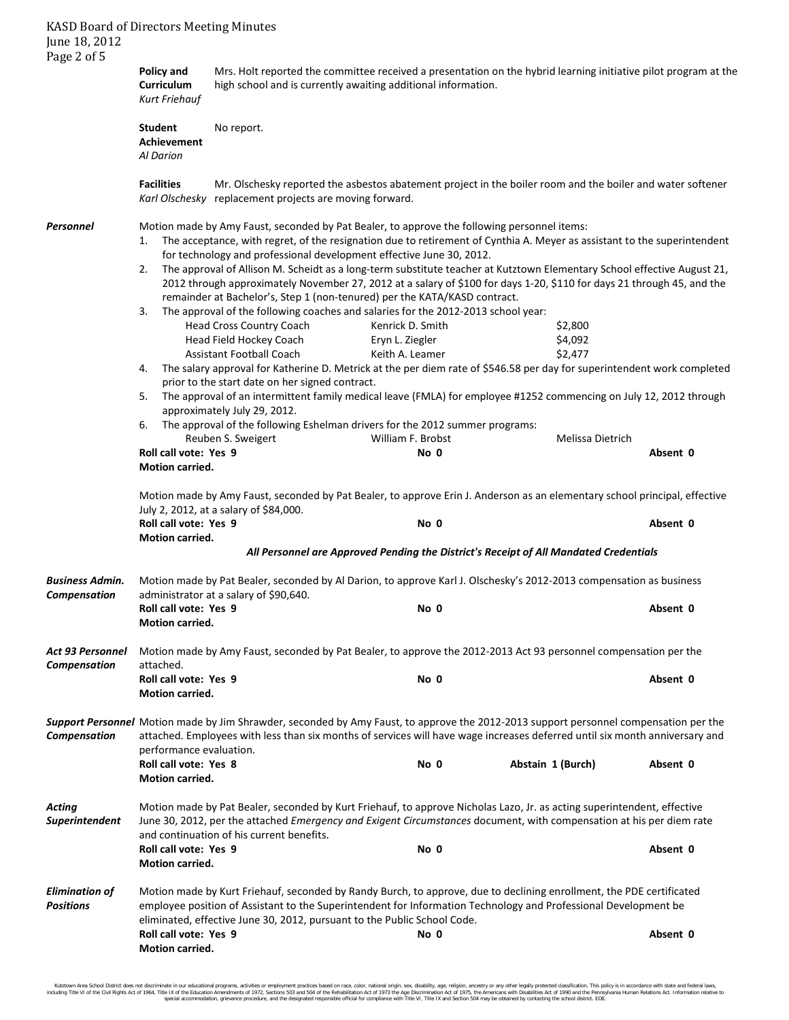KASD Board of Directors Meeting Minutes June 18, 2012 Page 2 of 5 **Policy and** Mrs. Holt reported the committee received a presentation on the hybrid learning initiative pilot program at the **Curriculum** high school and is currently awaiting additional information. *Kurt Friehauf* Student No report. **Achievement** *Al Darion* **Facilities** Mr. Olschesky reported the asbestos abatement project in the boiler room and the boiler and water softener *Karl Olschesky* replacement projects are moving forward. *Personnel* Motion made by Amy Faust, seconded by Pat Bealer, to approve the following personnel items: 1. The acceptance, with regret, of the resignation due to retirement of Cynthia A. Meyer as assistant to the superintendent for technology and professional development effective June 30, 2012. 2. The approval of Allison M. Scheidt as a long-term substitute teacher at Kutztown Elementary School effective August 21, 2012 through approximately November 27, 2012 at a salary of \$100 for days 1-20, \$110 for days 21 through 45, and the remainder at Bachelor's, Step 1 (non-tenured) per the KATA/KASD contract. 3. The approval of the following coaches and salaries for the 2012-2013 school year: Head Cross Country Coach Kenrick D. Smith \$2,800 Head Field Hockey Coach Eryn L. Ziegler States and S4,092 Assistant Football Coach Keith A. Leamer \$2,477 4. The salary approval for Katherine D. Metrick at the per diem rate of \$546.58 per day for superintendent work completed prior to the start date on her signed contract. 5. The approval of an intermittent family medical leave (FMLA) for employee #1252 commencing on July 12, 2012 through approximately July 29, 2012. 6. The approval of the following Eshelman drivers for the 2012 summer programs: Reuben S. Sweigert **Melissa Dietrich** William F. Brobst Melissa Dietrich **Roll call vote: Yes 9 No 0 Absent 0 Motion carried.** Motion made by Amy Faust, seconded by Pat Bealer, to approve Erin J. Anderson as an elementary school principal, effective July 2, 2012, at a salary of \$84,000. **Roll call vote: Yes 9 No 0 Absent 0 Motion carried.** *All Personnel are Approved Pending the District's Receipt of All Mandated Credentials Business Admin.* Motion made by Pat Bealer, seconded by Al Darion, to approve Karl J. Olschesky's 2012-2013 compensation as business *Compensation* administrator at a salary of \$90,640. **Roll call vote: Yes 9 No 0 Absent 0 Motion carried.** *Act 93 Personnel* Motion made by Amy Faust, seconded by Pat Bealer, to approve the 2012-2013 Act 93 personnel compensation per the *Compensation* attached. **Roll call vote: Yes 9 No 0 Absent 0 Motion carried.** *Support Personnel* Motion made by Jim Shrawder, seconded by Amy Faust, to approve the 2012-2013 support personnel compensation per the *Compensation* attached. Employees with less than six months of services will have wage increases deferred until six month anniversary and performance evaluation. **Roll call vote: Yes 8 No 0 Abstain 1 (Burch) Absent 0 Motion carried.** *Acting* Motion made by Pat Bealer, seconded by Kurt Friehauf, to approve Nicholas Lazo, Jr. as acting superintendent, effective *Superintendent* June 30, 2012, per the attached *Emergency and Exigent Circumstances* document, with compensation at his per diem rate and continuation of his current benefits. **Roll call vote: Yes 9 No 0 Absent 0 Motion carried.** *Elimination of* Motion made by Kurt Friehauf, seconded by Randy Burch, to approve, due to declining enrollment, the PDE certificated *Positions* employee position of Assistant to the Superintendent for Information Technology and Professional Development be eliminated, effective June 30, 2012, pursuant to the Public School Code. **Roll call vote: Yes 9 No 0 Absent 0 Motion carried.**

Kutztown Area School District does not discriminate in our educational programs, activities or employment practices based on race, color, national orgion, ance, althan and fight, sex, disability, age, religion, ancestry or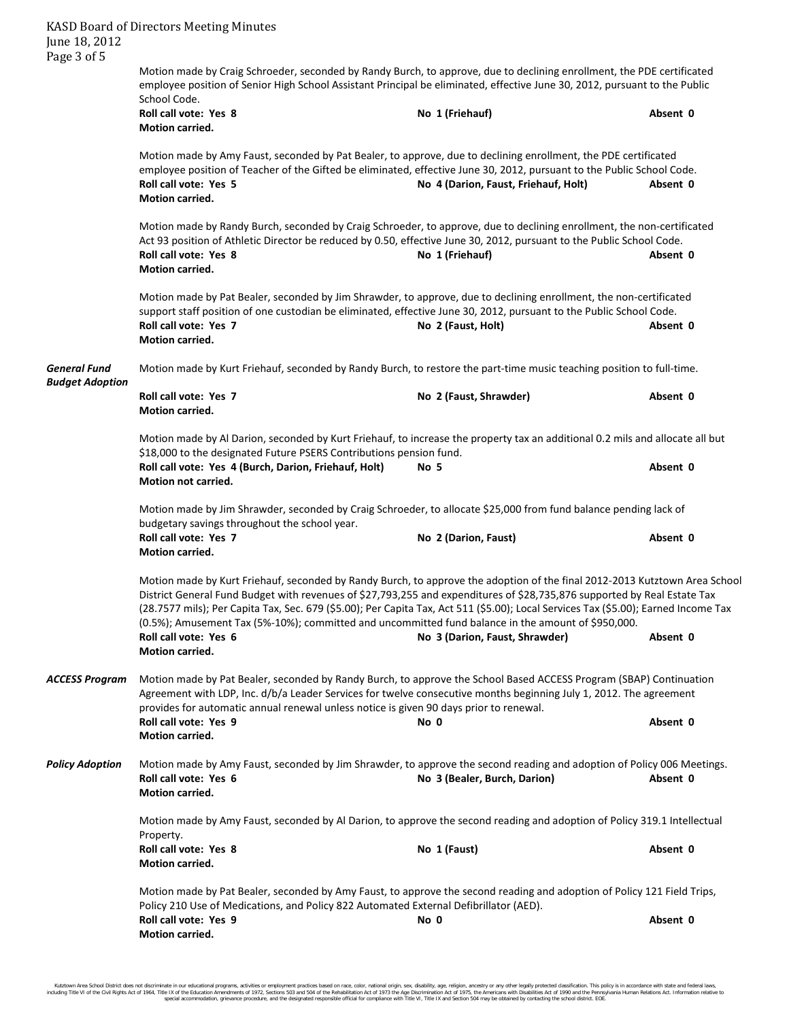| June 18, 2012                                 | <b>KASD Board of Directors Meeting Minutes</b>                                                                                                                                                                                                                                                                                                                                                                                                                                                      |                                      |          |  |  |  |
|-----------------------------------------------|-----------------------------------------------------------------------------------------------------------------------------------------------------------------------------------------------------------------------------------------------------------------------------------------------------------------------------------------------------------------------------------------------------------------------------------------------------------------------------------------------------|--------------------------------------|----------|--|--|--|
| Page 3 of 5                                   | Motion made by Craig Schroeder, seconded by Randy Burch, to approve, due to declining enrollment, the PDE certificated<br>employee position of Senior High School Assistant Principal be eliminated, effective June 30, 2012, pursuant to the Public<br>School Code.                                                                                                                                                                                                                                |                                      |          |  |  |  |
|                                               | Roll call vote: Yes 8<br>Motion carried.                                                                                                                                                                                                                                                                                                                                                                                                                                                            | No 1 (Friehauf)                      | Absent 0 |  |  |  |
|                                               | Motion made by Amy Faust, seconded by Pat Bealer, to approve, due to declining enrollment, the PDE certificated<br>employee position of Teacher of the Gifted be eliminated, effective June 30, 2012, pursuant to the Public School Code.<br>Roll call vote: Yes 5<br>Motion carried.                                                                                                                                                                                                               | No 4 (Darion, Faust, Friehauf, Holt) | Absent 0 |  |  |  |
|                                               | Motion made by Randy Burch, seconded by Craig Schroeder, to approve, due to declining enrollment, the non-certificated<br>Act 93 position of Athletic Director be reduced by 0.50, effective June 30, 2012, pursuant to the Public School Code.<br>Roll call vote: Yes 8<br>Motion carried.                                                                                                                                                                                                         | No 1 (Friehauf)                      | Absent 0 |  |  |  |
|                                               | Motion made by Pat Bealer, seconded by Jim Shrawder, to approve, due to declining enrollment, the non-certificated<br>support staff position of one custodian be eliminated, effective June 30, 2012, pursuant to the Public School Code.<br>Roll call vote: Yes 7<br>Motion carried.                                                                                                                                                                                                               | No 2 (Faust, Holt)                   | Absent 0 |  |  |  |
| <b>General Fund</b><br><b>Budget Adoption</b> | Motion made by Kurt Friehauf, seconded by Randy Burch, to restore the part-time music teaching position to full-time.                                                                                                                                                                                                                                                                                                                                                                               |                                      |          |  |  |  |
|                                               | Roll call vote: Yes 7<br>Motion carried.                                                                                                                                                                                                                                                                                                                                                                                                                                                            | No 2 (Faust, Shrawder)               | Absent 0 |  |  |  |
|                                               | Motion made by Al Darion, seconded by Kurt Friehauf, to increase the property tax an additional 0.2 mils and allocate all but<br>\$18,000 to the designated Future PSERS Contributions pension fund.<br>Roll call vote: Yes 4 (Burch, Darion, Friehauf, Holt)<br><b>Motion not carried.</b>                                                                                                                                                                                                         | No 5                                 | Absent 0 |  |  |  |
|                                               | Motion made by Jim Shrawder, seconded by Craig Schroeder, to allocate \$25,000 from fund balance pending lack of<br>budgetary savings throughout the school year.                                                                                                                                                                                                                                                                                                                                   |                                      |          |  |  |  |
|                                               | Roll call vote: Yes 7<br>Motion carried.                                                                                                                                                                                                                                                                                                                                                                                                                                                            | No 2 (Darion, Faust)                 | Absent 0 |  |  |  |
|                                               | Motion made by Kurt Friehauf, seconded by Randy Burch, to approve the adoption of the final 2012-2013 Kutztown Area School<br>District General Fund Budget with revenues of \$27,793,255 and expenditures of \$28,735,876 supported by Real Estate Tax<br>(28.7577 mils); Per Capita Tax, Sec. 679 (\$5.00); Per Capita Tax, Act 511 (\$5.00); Local Services Tax (\$5.00); Earned Income Tax<br>(0.5%); Amusement Tax (5%-10%); committed and uncommitted fund balance in the amount of \$950,000. |                                      |          |  |  |  |
|                                               | Roll call vote: Yes 6<br><b>Motion carried.</b>                                                                                                                                                                                                                                                                                                                                                                                                                                                     | No 3 (Darion, Faust, Shrawder)       | Absent 0 |  |  |  |
| <b>ACCESS Program</b>                         | Motion made by Pat Bealer, seconded by Randy Burch, to approve the School Based ACCESS Program (SBAP) Continuation<br>Agreement with LDP, Inc. d/b/a Leader Services for twelve consecutive months beginning July 1, 2012. The agreement<br>provides for automatic annual renewal unless notice is given 90 days prior to renewal.                                                                                                                                                                  |                                      |          |  |  |  |
|                                               | Roll call vote: Yes 9<br>Motion carried.                                                                                                                                                                                                                                                                                                                                                                                                                                                            | No 0                                 | Absent 0 |  |  |  |
| <b>Policy Adoption</b>                        | Motion made by Amy Faust, seconded by Jim Shrawder, to approve the second reading and adoption of Policy 006 Meetings.<br>Roll call vote: Yes 6<br>Motion carried.                                                                                                                                                                                                                                                                                                                                  | No 3 (Bealer, Burch, Darion)         | Absent 0 |  |  |  |
|                                               | Motion made by Amy Faust, seconded by Al Darion, to approve the second reading and adoption of Policy 319.1 Intellectual<br>Property.                                                                                                                                                                                                                                                                                                                                                               |                                      |          |  |  |  |
|                                               | Roll call vote: Yes 8<br>Motion carried.                                                                                                                                                                                                                                                                                                                                                                                                                                                            | No 1 (Faust)                         | Absent 0 |  |  |  |
|                                               | Motion made by Pat Bealer, seconded by Amy Faust, to approve the second reading and adoption of Policy 121 Field Trips,<br>Policy 210 Use of Medications, and Policy 822 Automated External Defibrillator (AED).<br>Roll call vote: Yes 9<br>Absent 0<br>No 0                                                                                                                                                                                                                                       |                                      |          |  |  |  |
|                                               | Motion carried.                                                                                                                                                                                                                                                                                                                                                                                                                                                                                     |                                      |          |  |  |  |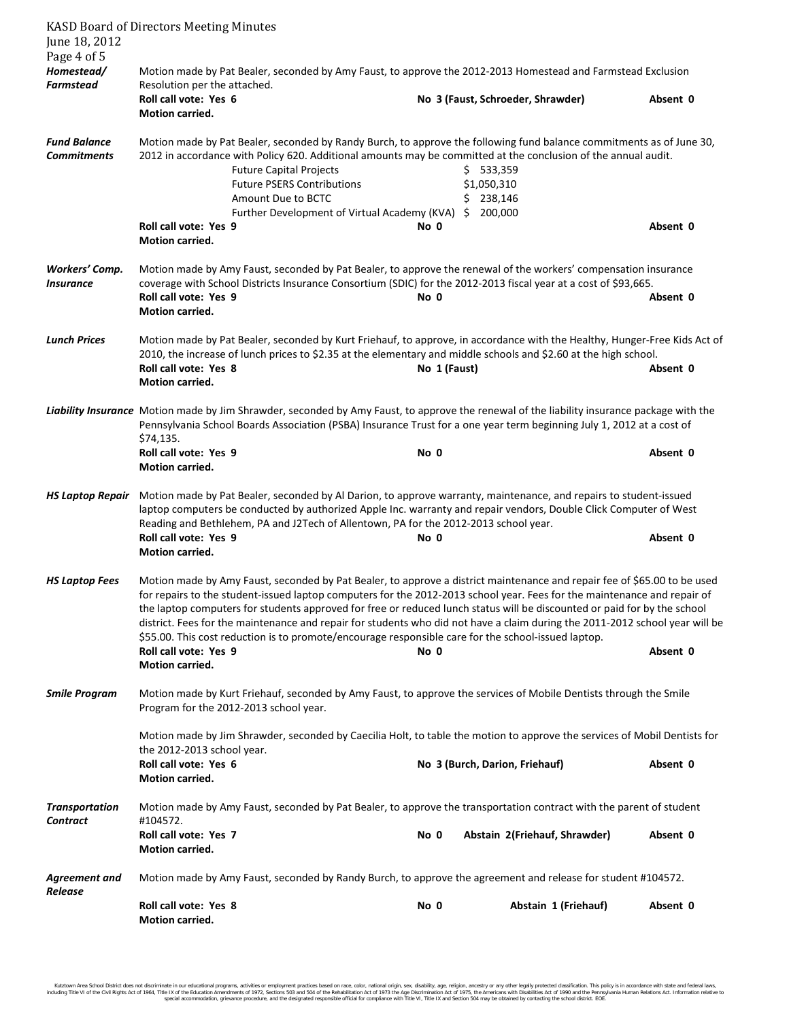| June 18, 2012                             | <b>KASD Board of Directors Meeting Minutes</b>                                                                                                                                                                                                                                                                                                                                                                                                                                                                                                                                                                                                                      |              |                                       |          |  |  |
|-------------------------------------------|---------------------------------------------------------------------------------------------------------------------------------------------------------------------------------------------------------------------------------------------------------------------------------------------------------------------------------------------------------------------------------------------------------------------------------------------------------------------------------------------------------------------------------------------------------------------------------------------------------------------------------------------------------------------|--------------|---------------------------------------|----------|--|--|
| Page 4 of 5                               |                                                                                                                                                                                                                                                                                                                                                                                                                                                                                                                                                                                                                                                                     |              |                                       |          |  |  |
| Homestead/<br>Farmstead                   | Motion made by Pat Bealer, seconded by Amy Faust, to approve the 2012-2013 Homestead and Farmstead Exclusion<br>Resolution per the attached.                                                                                                                                                                                                                                                                                                                                                                                                                                                                                                                        |              |                                       |          |  |  |
|                                           | Roll call vote: Yes 6<br><b>Motion carried.</b>                                                                                                                                                                                                                                                                                                                                                                                                                                                                                                                                                                                                                     |              | No 3 (Faust, Schroeder, Shrawder)     | Absent 0 |  |  |
| <b>Fund Balance</b><br><b>Commitments</b> | Motion made by Pat Bealer, seconded by Randy Burch, to approve the following fund balance commitments as of June 30,<br>2012 in accordance with Policy 620. Additional amounts may be committed at the conclusion of the annual audit.<br><b>Future Capital Projects</b><br><b>Future PSERS Contributions</b><br>Amount Due to BCTC<br>Further Development of Virtual Academy (KVA) \$ 200,000<br>Roll call vote: Yes 9                                                                                                                                                                                                                                             | No 0         | \$533,359<br>\$1,050,310<br>\$238,146 | Absent 0 |  |  |
|                                           | <b>Motion carried.</b>                                                                                                                                                                                                                                                                                                                                                                                                                                                                                                                                                                                                                                              |              |                                       |          |  |  |
| Workers' Comp.<br><b>Insurance</b>        | Motion made by Amy Faust, seconded by Pat Bealer, to approve the renewal of the workers' compensation insurance<br>coverage with School Districts Insurance Consortium (SDIC) for the 2012-2013 fiscal year at a cost of \$93,665.<br>Roll call vote: Yes 9<br>Motion carried.                                                                                                                                                                                                                                                                                                                                                                                      | No 0         |                                       | Absent 0 |  |  |
| <b>Lunch Prices</b>                       | Motion made by Pat Bealer, seconded by Kurt Friehauf, to approve, in accordance with the Healthy, Hunger-Free Kids Act of<br>2010, the increase of lunch prices to \$2.35 at the elementary and middle schools and \$2.60 at the high school.<br>Roll call vote: Yes 8<br>Motion carried.                                                                                                                                                                                                                                                                                                                                                                           | No 1 (Faust) |                                       | Absent 0 |  |  |
|                                           | Liability Insurance Motion made by Jim Shrawder, seconded by Amy Faust, to approve the renewal of the liability insurance package with the<br>Pennsylvania School Boards Association (PSBA) Insurance Trust for a one year term beginning July 1, 2012 at a cost of<br>\$74,135.                                                                                                                                                                                                                                                                                                                                                                                    |              |                                       |          |  |  |
|                                           | Roll call vote: Yes 9<br>Motion carried.                                                                                                                                                                                                                                                                                                                                                                                                                                                                                                                                                                                                                            | No 0         |                                       | Absent 0 |  |  |
| <b>HS Laptop Repair</b>                   | Motion made by Pat Bealer, seconded by Al Darion, to approve warranty, maintenance, and repairs to student-issued<br>laptop computers be conducted by authorized Apple Inc. warranty and repair vendors, Double Click Computer of West<br>Reading and Bethlehem, PA and J2Tech of Allentown, PA for the 2012-2013 school year.<br>Roll call vote: Yes 9<br>Absent 0<br>No 0                                                                                                                                                                                                                                                                                         |              |                                       |          |  |  |
|                                           | Motion carried.                                                                                                                                                                                                                                                                                                                                                                                                                                                                                                                                                                                                                                                     |              |                                       |          |  |  |
| <b>HS Laptop Fees</b>                     | Motion made by Amy Faust, seconded by Pat Bealer, to approve a district maintenance and repair fee of \$65.00 to be used<br>for repairs to the student-issued laptop computers for the 2012-2013 school year. Fees for the maintenance and repair of<br>the laptop computers for students approved for free or reduced lunch status will be discounted or paid for by the school<br>district. Fees for the maintenance and repair for students who did not have a claim during the 2011-2012 school year will be<br>\$55.00. This cost reduction is to promote/encourage responsible care for the school-issued laptop.<br>Roll call vote: Yes 9<br>Motion carried. | No 0         |                                       | Absent 0 |  |  |
| <b>Smile Program</b>                      | Motion made by Kurt Friehauf, seconded by Amy Faust, to approve the services of Mobile Dentists through the Smile<br>Program for the 2012-2013 school year.                                                                                                                                                                                                                                                                                                                                                                                                                                                                                                         |              |                                       |          |  |  |
|                                           | Motion made by Jim Shrawder, seconded by Caecilia Holt, to table the motion to approve the services of Mobil Dentists for<br>the 2012-2013 school year.                                                                                                                                                                                                                                                                                                                                                                                                                                                                                                             |              |                                       |          |  |  |
|                                           | Roll call vote: Yes 6<br>Motion carried.                                                                                                                                                                                                                                                                                                                                                                                                                                                                                                                                                                                                                            |              | No 3 (Burch, Darion, Friehauf)        | Absent 0 |  |  |
| <b>Transportation</b><br>Contract         | Motion made by Amy Faust, seconded by Pat Bealer, to approve the transportation contract with the parent of student<br>#104572.                                                                                                                                                                                                                                                                                                                                                                                                                                                                                                                                     |              |                                       |          |  |  |
|                                           | Roll call vote: Yes 7<br>Motion carried.                                                                                                                                                                                                                                                                                                                                                                                                                                                                                                                                                                                                                            | No 0         | Abstain 2(Friehauf, Shrawder)         | Absent 0 |  |  |
| <b>Agreement and</b><br>Release           | Motion made by Amy Faust, seconded by Randy Burch, to approve the agreement and release for student #104572.                                                                                                                                                                                                                                                                                                                                                                                                                                                                                                                                                        |              |                                       |          |  |  |
|                                           | Roll call vote: Yes 8<br>Motion carried.                                                                                                                                                                                                                                                                                                                                                                                                                                                                                                                                                                                                                            | No 0         | Abstain 1 (Friehauf)                  | Absent 0 |  |  |